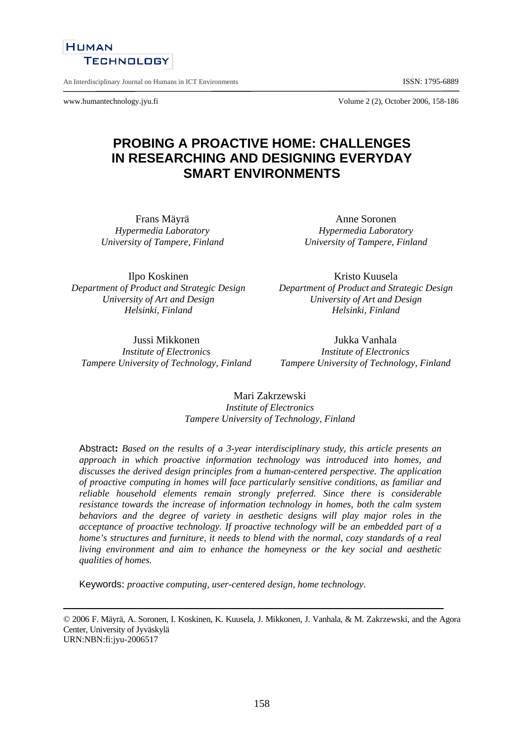

An Interdisciplinary Journal on Humans in ICT Environments **ISSN: 1795-6889** 

**HUMAN** 

www.humantechnology.jyu.fi Volume 2 (2), October 2006, 158-186

# **PROBING A PROACTIVE HOME: CHALLENGES IN RESEARCHING AND DESIGNING EVERYDAY SMART ENVIRONMENTS**

Frans Mäyrä *Hypermedia Laboratory University of Tampere, Finland* 

Ilpo Koskinen *Department of Product and Strategic Design University of Art and Design Helsinki, Finland*

Kristo Kuusela *Department of Product and Strategic Design University of Art and Design Helsinki, Finland*

Anne Soronen *Hypermedia Laboratory University of Tampere, Finland* 

Jussi Mikkonen *Institute of Electronics Tampere University of Technology, Finland*

Jukka Vanhala *Institute of Electronics Tampere University of Technology, Finland* 

Mari Zakrzewski *Institute of Electronics Tampere University of Technology, Finland* 

Abstract**:** *Based on the results of a 3-year interdisciplinary study, this article presents an approach in which proactive information technology was introduced into homes, and discusses the derived design principles from a human-centered perspective. The application of proactive computing in homes will face particularly sensitive conditions, as familiar and reliable household elements remain strongly preferred. Since there is considerable resistance towards the increase of information technology in homes, both the calm system behaviors and the degree of variety in aesthetic designs will play major roles in the acceptance of proactive technology. If proactive technology will be an embedded part of a home's structures and furniture, it needs to blend with the normal, cozy standards of a real living environment and aim to enhance the homeyness or the key social and aesthetic qualities of homes.* 

Keywords: *proactive computing, user-centered design, home technology*.

© 2006 F. Mäyrä, A. Soronen, I. Koskinen, K. Kuusela, J. Mikkonen, J. Vanhala, & M. Zakrzewski, and the Agora Center, University of Jyväskylä URN:NBN:fi:jyu-2006517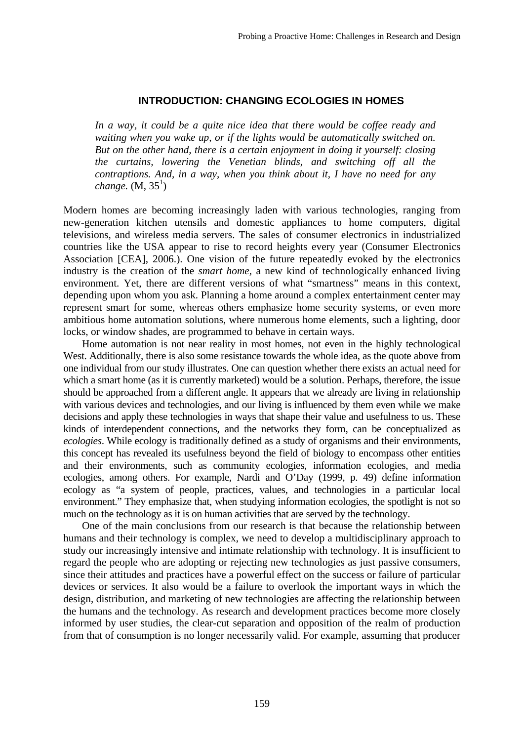### **INTRODUCTION: CHANGING ECOLOGIES IN HOMES**

*In a way, it could be a quite nice idea that there would be coffee ready and waiting when you wake up, or if the lights would be automatically switched on. But on the other hand, there is a certain enjoyment in doing it yourself: closing the curtains, lowering the Venetian blinds, and switching off all the contraptions. And, in a way, when you think about it, I have no need for any*   $change. (M, 35<sup>1</sup>)$ 

Modern homes are becoming increasingly laden with various technologies, ranging from new-generation kitchen utensils and domestic appliances to home computers, digital televisions, and wireless media servers. The sales of consumer electronics in industrialized countries like the USA appear to rise to record heights every year (Consumer Electronics Association [CEA], 2006.). One vision of the future repeatedly evoked by the electronics industry is the creation of the *smart home,* a new kind of technologically enhanced living environment. Yet, there are different versions of what "smartness" means in this context, depending upon whom you ask. Planning a home around a complex entertainment center may represent smart for some, whereas others emphasize home security systems, or even more ambitious home automation solutions, where numerous home elements, such a lighting, door locks, or window shades, are programmed to behave in certain ways.

Home automation is not near reality in most homes, not even in the highly technological West. Additionally, there is also some resistance towards the whole idea, as the quote above from one individual from our study illustrates. One can question whether there exists an actual need for which a smart home (as it is currently marketed) would be a solution. Perhaps, therefore, the issue should be approached from a different angle. It appears that we already are living in relationship with various devices and technologies, and our living is influenced by them even while we make decisions and apply these technologies in ways that shape their value and usefulness to us. These kinds of interdependent connections, and the networks they form, can be conceptualized as *ecologies*. While ecology is traditionally defined as a study of organisms and their environments, this concept has revealed its usefulness beyond the field of biology to encompass other entities and their environments, such as community ecologies, information ecologies, and media ecologies, among others. For example, Nardi and O'Day (1999, p. 49) define information ecology as "a system of people, practices, values, and technologies in a particular local environment." They emphasize that, when studying information ecologies, the spotlight is not so much on the technology as it is on human activities that are served by the technology.

 One of the main conclusions from our research is that because the relationship between humans and their technology is complex, we need to develop a multidisciplinary approach to study our increasingly intensive and intimate relationship with technology. It is insufficient to regard the people who are adopting or rejecting new technologies as just passive consumers, since their attitudes and practices have a powerful effect on the success or failure of particular devices or services. It also would be a failure to overlook the important ways in which the design, distribution, and marketing of new technologies are affecting the relationship between the humans and the technology. As research and development practices become more closely informed by user studies, the clear-cut separation and opposition of the realm of production from that of consumption is no longer necessarily valid. For example, assuming that producer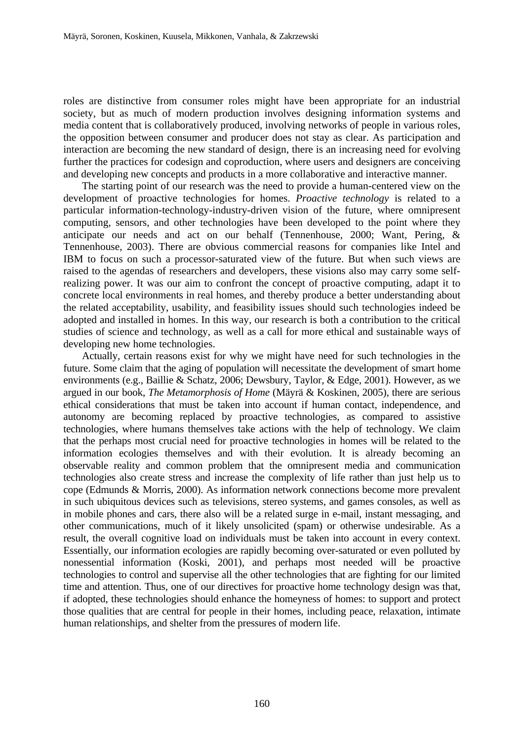roles are distinctive from consumer roles might have been appropriate for an industrial society, but as much of modern production involves designing information systems and media content that is collaboratively produced, involving networks of people in various roles, the opposition between consumer and producer does not stay as clear. As participation and interaction are becoming the new standard of design, there is an increasing need for evolving further the practices for codesign and coproduction, where users and designers are conceiving and developing new concepts and products in a more collaborative and interactive manner.

 The starting point of our research was the need to provide a human-centered view on the development of proactive technologies for homes. *Proactive technology* is related to a particular information-technology-industry-driven vision of the future, where omnipresent computing, sensors, and other technologies have been developed to the point where they anticipate our needs and act on our behalf (Tennenhouse, 2000; Want, Pering, & Tennenhouse, 2003). There are obvious commercial reasons for companies like Intel and IBM to focus on such a processor-saturated view of the future. But when such views are raised to the agendas of researchers and developers, these visions also may carry some selfrealizing power. It was our aim to confront the concept of proactive computing, adapt it to concrete local environments in real homes, and thereby produce a better understanding about the related acceptability, usability, and feasibility issues should such technologies indeed be adopted and installed in homes. In this way, our research is both a contribution to the critical studies of science and technology, as well as a call for more ethical and sustainable ways of developing new home technologies.

 Actually, certain reasons exist for why we might have need for such technologies in the future. Some claim that the aging of population will necessitate the development of smart home environments (e.g., Baillie & Schatz, 2006; Dewsbury, Taylor, & Edge, 2001). However, as we argued in our book, *The Metamorphosis of Home* (Mäyrä & Koskinen, 2005), there are serious ethical considerations that must be taken into account if human contact, independence, and autonomy are becoming replaced by proactive technologies, as compared to assistive technologies, where humans themselves take actions with the help of technology. We claim that the perhaps most crucial need for proactive technologies in homes will be related to the information ecologies themselves and with their evolution. It is already becoming an observable reality and common problem that the omnipresent media and communication technologies also create stress and increase the complexity of life rather than just help us to cope (Edmunds & Morris, 2000). As information network connections become more prevalent in such ubiquitous devices such as televisions, stereo systems, and games consoles, as well as in mobile phones and cars, there also will be a related surge in e-mail, instant messaging, and other communications, much of it likely unsolicited (spam) or otherwise undesirable. As a result, the overall cognitive load on individuals must be taken into account in every context. Essentially, our information ecologies are rapidly becoming over-saturated or even polluted by nonessential information (Koski, 2001), and perhaps most needed will be proactive technologies to control and supervise all the other technologies that are fighting for our limited time and attention. Thus, one of our directives for proactive home technology design was that, if adopted, these technologies should enhance the homeyness of homes: to support and protect those qualities that are central for people in their homes, including peace, relaxation, intimate human relationships, and shelter from the pressures of modern life.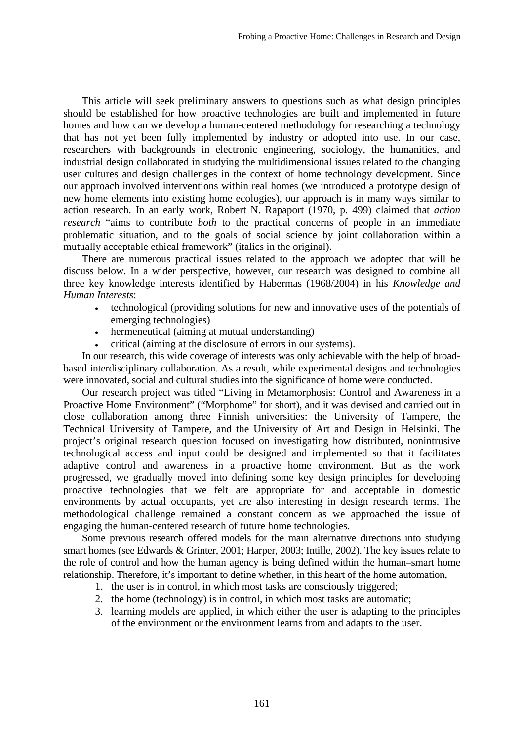This article will seek preliminary answers to questions such as what design principles should be established for how proactive technologies are built and implemented in future homes and how can we develop a human-centered methodology for researching a technology that has not yet been fully implemented by industry or adopted into use. In our case, researchers with backgrounds in electronic engineering, sociology, the humanities, and industrial design collaborated in studying the multidimensional issues related to the changing user cultures and design challenges in the context of home technology development. Since our approach involved interventions within real homes (we introduced a prototype design of new home elements into existing home ecologies), our approach is in many ways similar to action research. In an early work, Robert N. Rapaport (1970, p. 499) claimed that *action research* "aims to contribute *both* to the practical concerns of people in an immediate problematic situation, and to the goals of social science by joint collaboration within a mutually acceptable ethical framework" (italics in the original).

 There are numerous practical issues related to the approach we adopted that will be discuss below. In a wider perspective, however, our research was designed to combine all three key knowledge interests identified by Habermas (1968/2004) in his *Knowledge and Human Interests*:

- technological (providing solutions for new and innovative uses of the potentials of emerging technologies)
- hermeneutical (aiming at mutual understanding)
- critical (aiming at the disclosure of errors in our systems).

In our research, this wide coverage of interests was only achievable with the help of broadbased interdisciplinary collaboration. As a result, while experimental designs and technologies were innovated, social and cultural studies into the significance of home were conducted.

 Our research project was titled "Living in Metamorphosis: Control and Awareness in a Proactive Home Environment" ("Morphome" for short), and it was devised and carried out in close collaboration among three Finnish universities: the University of Tampere, the Technical University of Tampere, and the University of Art and Design in Helsinki. The project's original research question focused on investigating how distributed, nonintrusive technological access and input could be designed and implemented so that it facilitates adaptive control and awareness in a proactive home environment. But as the work progressed, we gradually moved into defining some key design principles for developing proactive technologies that we felt are appropriate for and acceptable in domestic environments by actual occupants, yet are also interesting in design research terms. The methodological challenge remained a constant concern as we approached the issue of engaging the human-centered research of future home technologies.

 Some previous research offered models for the main alternative directions into studying smart homes (see Edwards & Grinter, 2001; Harper, 2003; Intille, 2002). The key issues relate to the role of control and how the human agency is being defined within the human–smart home relationship. Therefore, it's important to define whether, in this heart of the home automation,

- 1. the user is in control, in which most tasks are consciously triggered;
- 2. the home (technology) is in control, in which most tasks are automatic;
- 3. learning models are applied, in which either the user is adapting to the principles of the environment or the environment learns from and adapts to the user.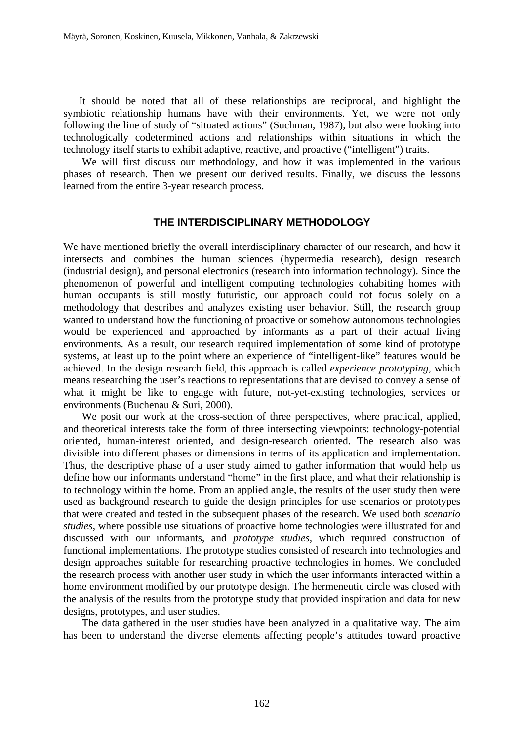It should be noted that all of these relationships are reciprocal, and highlight the symbiotic relationship humans have with their environments. Yet, we were not only following the line of study of "situated actions" (Suchman, 1987), but also were looking into technologically codetermined actions and relationships within situations in which the technology itself starts to exhibit adaptive, reactive, and proactive ("intelligent") traits.

 We will first discuss our methodology, and how it was implemented in the various phases of research. Then we present our derived results. Finally, we discuss the lessons learned from the entire 3-year research process.

### **THE INTERDISCIPLINARY METHODOLOGY**

We have mentioned briefly the overall interdisciplinary character of our research, and how it intersects and combines the human sciences (hypermedia research), design research (industrial design), and personal electronics (research into information technology). Since the phenomenon of powerful and intelligent computing technologies cohabiting homes with human occupants is still mostly futuristic, our approach could not focus solely on a methodology that describes and analyzes existing user behavior. Still, the research group wanted to understand how the functioning of proactive or somehow autonomous technologies would be experienced and approached by informants as a part of their actual living environments. As a result, our research required implementation of some kind of prototype systems, at least up to the point where an experience of "intelligent-like" features would be achieved. In the design research field, this approach is called *experience prototyping*, which means researching the user's reactions to representations that are devised to convey a sense of what it might be like to engage with future, not-yet-existing technologies, services or environments (Buchenau & Suri, 2000).

 We posit our work at the cross-section of three perspectives, where practical, applied, and theoretical interests take the form of three intersecting viewpoints: technology-potential oriented, human-interest oriented, and design-research oriented. The research also was divisible into different phases or dimensions in terms of its application and implementation. Thus, the descriptive phase of a user study aimed to gather information that would help us define how our informants understand "home" in the first place, and what their relationship is to technology within the home. From an applied angle, the results of the user study then were used as background research to guide the design principles for use scenarios or prototypes that were created and tested in the subsequent phases of the research. We used both *scenario studies*, where possible use situations of proactive home technologies were illustrated for and discussed with our informants, and *prototype studies,* which required construction of functional implementations. The prototype studies consisted of research into technologies and design approaches suitable for researching proactive technologies in homes. We concluded the research process with another user study in which the user informants interacted within a home environment modified by our prototype design. The hermeneutic circle was closed with the analysis of the results from the prototype study that provided inspiration and data for new designs, prototypes, and user studies.

 The data gathered in the user studies have been analyzed in a qualitative way. The aim has been to understand the diverse elements affecting people's attitudes toward proactive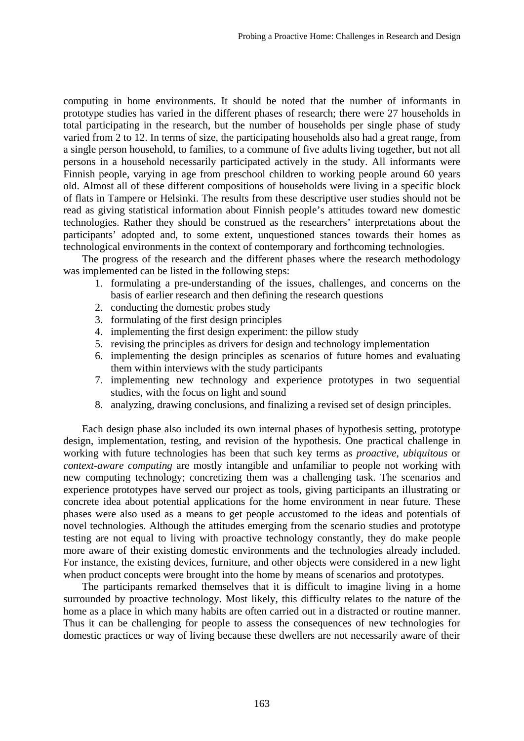computing in home environments. It should be noted that the number of informants in prototype studies has varied in the different phases of research; there were 27 households in total participating in the research, but the number of households per single phase of study varied from 2 to 12. In terms of size, the participating households also had a great range, from a single person household, to families, to a commune of five adults living together, but not all persons in a household necessarily participated actively in the study. All informants were Finnish people, varying in age from preschool children to working people around 60 years old. Almost all of these different compositions of households were living in a specific block of flats in Tampere or Helsinki. The results from these descriptive user studies should not be read as giving statistical information about Finnish people's attitudes toward new domestic technologies. Rather they should be construed as the researchers' interpretations about the participants' adopted and, to some extent, unquestioned stances towards their homes as technological environments in the context of contemporary and forthcoming technologies.

 The progress of the research and the different phases where the research methodology was implemented can be listed in the following steps:

- 1. formulating a pre-understanding of the issues, challenges, and concerns on the basis of earlier research and then defining the research questions
- 2. conducting the domestic probes study
- 3. formulating of the first design principles
- 4. implementing the first design experiment: the pillow study
- 5. revising the principles as drivers for design and technology implementation
- 6. implementing the design principles as scenarios of future homes and evaluating them within interviews with the study participants
- 7. implementing new technology and experience prototypes in two sequential studies, with the focus on light and sound
- 8. analyzing, drawing conclusions, and finalizing a revised set of design principles.

 Each design phase also included its own internal phases of hypothesis setting, prototype design, implementation, testing, and revision of the hypothesis. One practical challenge in working with future technologies has been that such key terms as *proactive*, *ubiquitous* or *context-aware computing* are mostly intangible and unfamiliar to people not working with new computing technology; concretizing them was a challenging task. The scenarios and experience prototypes have served our project as tools, giving participants an illustrating or concrete idea about potential applications for the home environment in near future. These phases were also used as a means to get people accustomed to the ideas and potentials of novel technologies. Although the attitudes emerging from the scenario studies and prototype testing are not equal to living with proactive technology constantly, they do make people more aware of their existing domestic environments and the technologies already included. For instance, the existing devices, furniture, and other objects were considered in a new light when product concepts were brought into the home by means of scenarios and prototypes.

 The participants remarked themselves that it is difficult to imagine living in a home surrounded by proactive technology. Most likely, this difficulty relates to the nature of the home as a place in which many habits are often carried out in a distracted or routine manner. Thus it can be challenging for people to assess the consequences of new technologies for domestic practices or way of living because these dwellers are not necessarily aware of their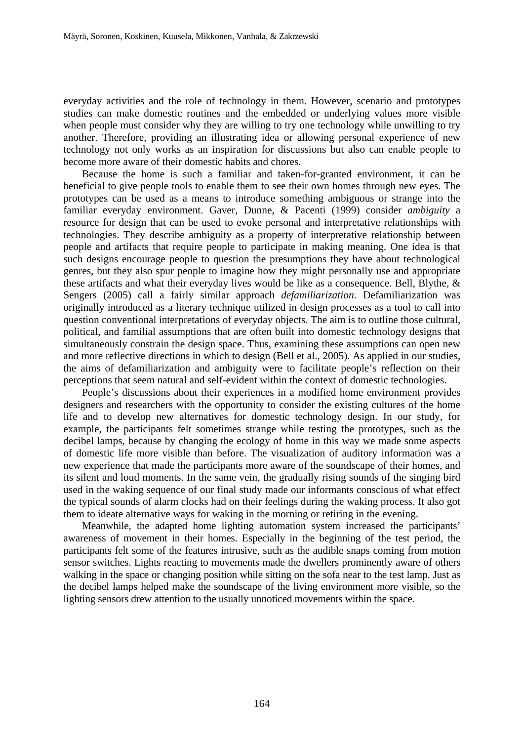everyday activities and the role of technology in them. However, scenario and prototypes studies can make domestic routines and the embedded or underlying values more visible when people must consider why they are willing to try one technology while unwilling to try another. Therefore, providing an illustrating idea or allowing personal experience of new technology not only works as an inspiration for discussions but also can enable people to become more aware of their domestic habits and chores.

 Because the home is such a familiar and taken-for-granted environment, it can be beneficial to give people tools to enable them to see their own homes through new eyes. The prototypes can be used as a means to introduce something ambiguous or strange into the familiar everyday environment. Gaver, Dunne, & Pacenti (1999) consider *ambiguity* a resource for design that can be used to evoke personal and interpretative relationships with technologies. They describe ambiguity as a property of interpretative relationship between people and artifacts that require people to participate in making meaning. One idea is that such designs encourage people to question the presumptions they have about technological genres, but they also spur people to imagine how they might personally use and appropriate these artifacts and what their everyday lives would be like as a consequence. Bell, Blythe, & Sengers (2005) call a fairly similar approach *defamiliarization*. Defamiliarization was originally introduced as a literary technique utilized in design processes as a tool to call into question conventional interpretations of everyday objects. The aim is to outline those cultural, political, and familial assumptions that are often built into domestic technology designs that simultaneously constrain the design space. Thus, examining these assumptions can open new and more reflective directions in which to design (Bell et al., 2005). As applied in our studies, the aims of defamiliarization and ambiguity were to facilitate people's reflection on their perceptions that seem natural and self-evident within the context of domestic technologies.

 People's discussions about their experiences in a modified home environment provides designers and researchers with the opportunity to consider the existing cultures of the home life and to develop new alternatives for domestic technology design. In our study, for example, the participants felt sometimes strange while testing the prototypes, such as the decibel lamps, because by changing the ecology of home in this way we made some aspects of domestic life more visible than before. The visualization of auditory information was a new experience that made the participants more aware of the soundscape of their homes, and its silent and loud moments. In the same vein, the gradually rising sounds of the singing bird used in the waking sequence of our final study made our informants conscious of what effect the typical sounds of alarm clocks had on their feelings during the waking process. It also got them to ideate alternative ways for waking in the morning or retiring in the evening.

 Meanwhile, the adapted home lighting automation system increased the participants' awareness of movement in their homes. Especially in the beginning of the test period, the participants felt some of the features intrusive, such as the audible snaps coming from motion sensor switches. Lights reacting to movements made the dwellers prominently aware of others walking in the space or changing position while sitting on the sofa near to the test lamp. Just as the decibel lamps helped make the soundscape of the living environment more visible, so the lighting sensors drew attention to the usually unnoticed movements within the space.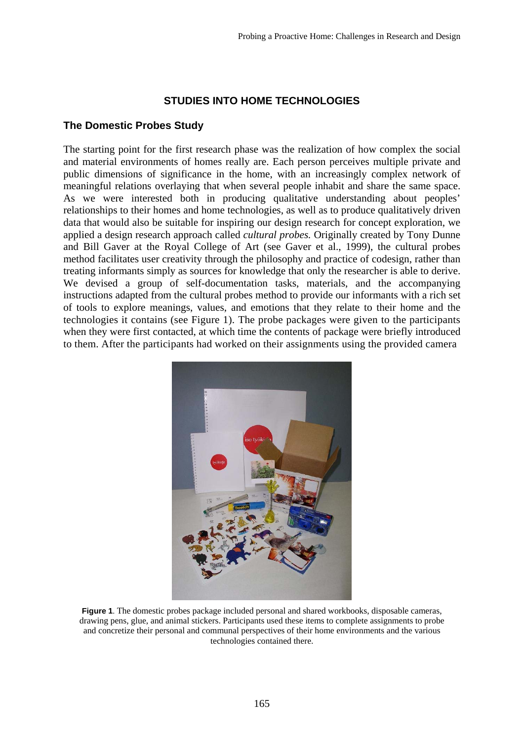# **STUDIES INTO HOME TECHNOLOGIES**

## **The Domestic Probes Study**

The starting point for the first research phase was the realization of how complex the social and material environments of homes really are. Each person perceives multiple private and public dimensions of significance in the home, with an increasingly complex network of meaningful relations overlaying that when several people inhabit and share the same space. As we were interested both in producing qualitative understanding about peoples' relationships to their homes and home technologies, as well as to produce qualitatively driven data that would also be suitable for inspiring our design research for concept exploration, we applied a design research approach called *cultural probes.* Originally created by Tony Dunne and Bill Gaver at the Royal College of Art (see Gaver et al., 1999), the cultural probes method facilitates user creativity through the philosophy and practice of codesign, rather than treating informants simply as sources for knowledge that only the researcher is able to derive. We devised a group of self-documentation tasks, materials, and the accompanying instructions adapted from the cultural probes method to provide our informants with a rich set of tools to explore meanings, values, and emotions that they relate to their home and the technologies it contains (see Figure 1). The probe packages were given to the participants when they were first contacted, at which time the contents of package were briefly introduced to them. After the participants had worked on their assignments using the provided camera



**Figure 1**. The domestic probes package included personal and shared workbooks, disposable cameras, drawing pens, glue, and animal stickers. Participants used these items to complete assignments to probe and concretize their personal and communal perspectives of their home environments and the various technologies contained there.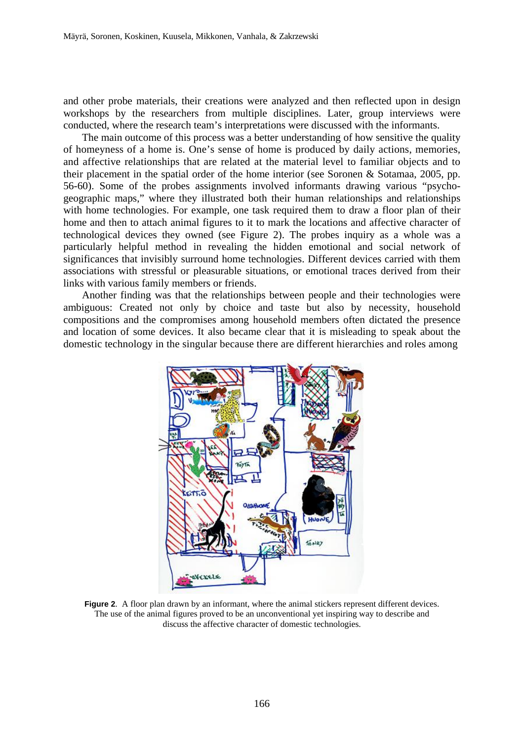and other probe materials, their creations were analyzed and then reflected upon in design workshops by the researchers from multiple disciplines. Later, group interviews were conducted, where the research team's interpretations were discussed with the informants.

 The main outcome of this process was a better understanding of how sensitive the quality of homeyness of a home is. One's sense of home is produced by daily actions, memories, and affective relationships that are related at the material level to familiar objects and to their placement in the spatial order of the home interior (see Soronen & Sotamaa, 2005, pp. 56-60). Some of the probes assignments involved informants drawing various "psychogeographic maps," where they illustrated both their human relationships and relationships with home technologies. For example, one task required them to draw a floor plan of their home and then to attach animal figures to it to mark the locations and affective character of technological devices they owned (see Figure 2). The probes inquiry as a whole was a particularly helpful method in revealing the hidden emotional and social network of significances that invisibly surround home technologies. Different devices carried with them associations with stressful or pleasurable situations, or emotional traces derived from their links with various family members or friends.

Another finding was that the relationships between people and their technologies were ambiguous: Created not only by choice and taste but also by necessity, household compositions and the compromises among household members often dictated the presence and location of some devices. It also became clear that it is misleading to speak about the domestic technology in the singular because there are different hierarchies and roles among



**Figure 2.** A floor plan drawn by an informant, where the animal stickers represent different devices. The use of the animal figures proved to be an unconventional yet inspiring way to describe and discuss the affective character of domestic technologies.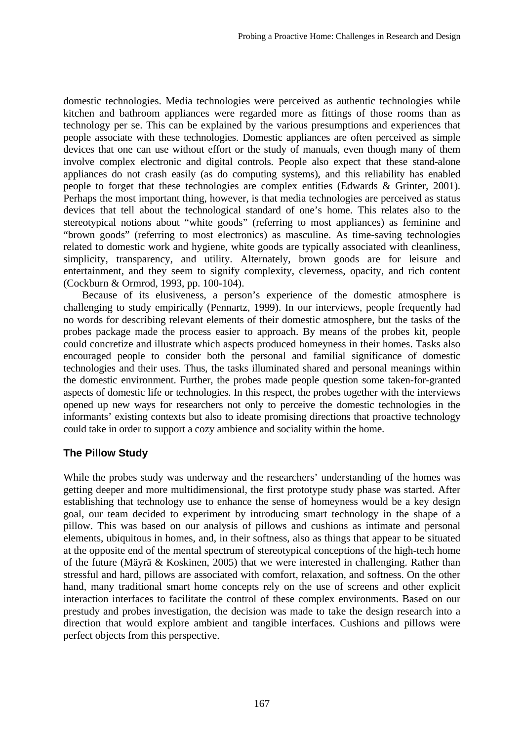domestic technologies. Media technologies were perceived as authentic technologies while kitchen and bathroom appliances were regarded more as fittings of those rooms than as technology per se. This can be explained by the various presumptions and experiences that people associate with these technologies. Domestic appliances are often perceived as simple devices that one can use without effort or the study of manuals, even though many of them involve complex electronic and digital controls. People also expect that these stand-alone appliances do not crash easily (as do computing systems), and this reliability has enabled people to forget that these technologies are complex entities (Edwards & Grinter, 2001). Perhaps the most important thing, however, is that media technologies are perceived as status devices that tell about the technological standard of one's home. This relates also to the stereotypical notions about "white goods" (referring to most appliances) as feminine and "brown goods" (referring to most electronics) as masculine. As time-saving technologies related to domestic work and hygiene, white goods are typically associated with cleanliness, simplicity, transparency, and utility. Alternately, brown goods are for leisure and entertainment, and they seem to signify complexity, cleverness, opacity, and rich content (Cockburn & Ormrod, 1993, pp. 100-104).

 Because of its elusiveness, a person's experience of the domestic atmosphere is challenging to study empirically (Pennartz, 1999). In our interviews, people frequently had no words for describing relevant elements of their domestic atmosphere, but the tasks of the probes package made the process easier to approach. By means of the probes kit, people could concretize and illustrate which aspects produced homeyness in their homes. Tasks also encouraged people to consider both the personal and familial significance of domestic technologies and their uses. Thus, the tasks illuminated shared and personal meanings within the domestic environment. Further, the probes made people question some taken-for-granted aspects of domestic life or technologies. In this respect, the probes together with the interviews opened up new ways for researchers not only to perceive the domestic technologies in the informants' existing contexts but also to ideate promising directions that proactive technology could take in order to support a cozy ambience and sociality within the home.

## **The Pillow Study**

While the probes study was underway and the researchers' understanding of the homes was getting deeper and more multidimensional, the first prototype study phase was started. After establishing that technology use to enhance the sense of homeyness would be a key design goal, our team decided to experiment by introducing smart technology in the shape of a pillow. This was based on our analysis of pillows and cushions as intimate and personal elements, ubiquitous in homes, and, in their softness, also as things that appear to be situated at the opposite end of the mental spectrum of stereotypical conceptions of the high-tech home of the future (Mäyrä & Koskinen, 2005) that we were interested in challenging. Rather than stressful and hard, pillows are associated with comfort, relaxation, and softness. On the other hand, many traditional smart home concepts rely on the use of screens and other explicit interaction interfaces to facilitate the control of these complex environments. Based on our prestudy and probes investigation, the decision was made to take the design research into a direction that would explore ambient and tangible interfaces. Cushions and pillows were perfect objects from this perspective.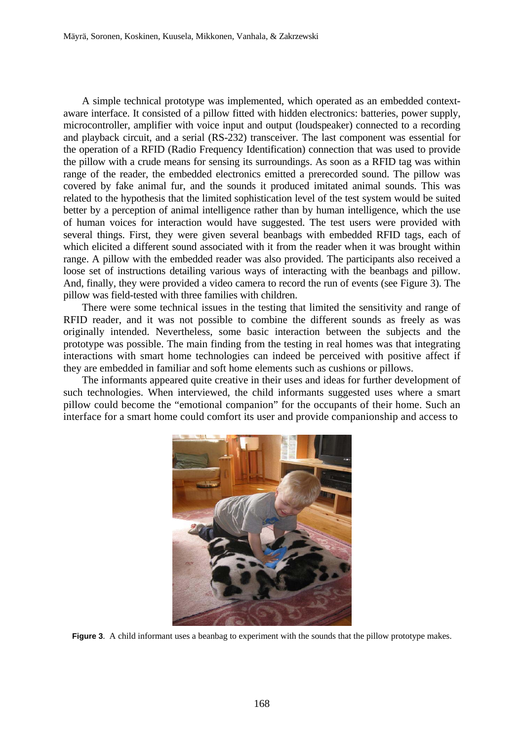A simple technical prototype was implemented, which operated as an embedded contextaware interface. It consisted of a pillow fitted with hidden electronics: batteries, power supply, microcontroller, amplifier with voice input and output (loudspeaker) connected to a recording and playback circuit, and a serial (RS-232) transceiver. The last component was essential for the operation of a RFID (Radio Frequency Identification) connection that was used to provide the pillow with a crude means for sensing its surroundings. As soon as a RFID tag was within range of the reader, the embedded electronics emitted a prerecorded sound. The pillow was covered by fake animal fur, and the sounds it produced imitated animal sounds. This was related to the hypothesis that the limited sophistication level of the test system would be suited better by a perception of animal intelligence rather than by human intelligence, which the use of human voices for interaction would have suggested. The test users were provided with several things. First, they were given several beanbags with embedded RFID tags, each of which elicited a different sound associated with it from the reader when it was brought within range. A pillow with the embedded reader was also provided. The participants also received a loose set of instructions detailing various ways of interacting with the beanbags and pillow. And, finally, they were provided a video camera to record the run of events (see Figure 3). The pillow was field-tested with three families with children.

There were some technical issues in the testing that limited the sensitivity and range of RFID reader, and it was not possible to combine the different sounds as freely as was originally intended. Nevertheless, some basic interaction between the subjects and the prototype was possible. The main finding from the testing in real homes was that integrating interactions with smart home technologies can indeed be perceived with positive affect if they are embedded in familiar and soft home elements such as cushions or pillows.

The informants appeared quite creative in their uses and ideas for further development of such technologies. When interviewed, the child informants suggested uses where a smart pillow could become the "emotional companion" for the occupants of their home. Such an interface for a smart home could comfort its user and provide companionship and access to



**Figure 3**. A child informant uses a beanbag to experiment with the sounds that the pillow prototype makes.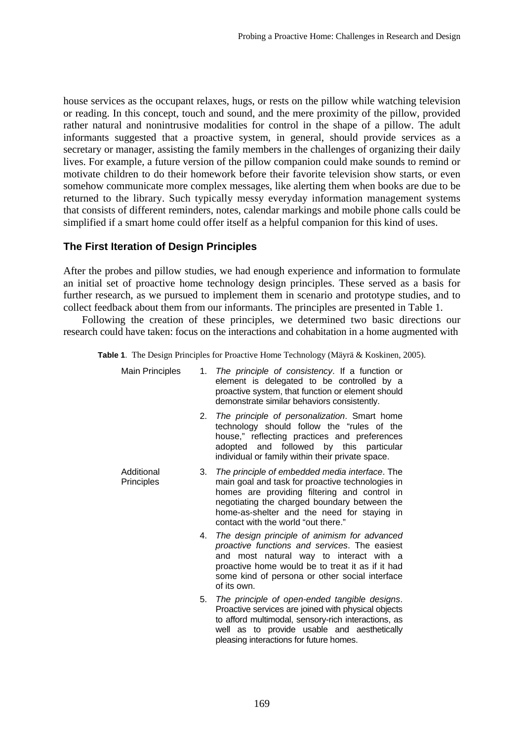house services as the occupant relaxes, hugs, or rests on the pillow while watching television or reading. In this concept, touch and sound, and the mere proximity of the pillow, provided rather natural and nonintrusive modalities for control in the shape of a pillow. The adult informants suggested that a proactive system, in general, should provide services as a secretary or manager, assisting the family members in the challenges of organizing their daily lives. For example, a future version of the pillow companion could make sounds to remind or motivate children to do their homework before their favorite television show starts, or even somehow communicate more complex messages, like alerting them when books are due to be returned to the library. Such typically messy everyday information management systems that consists of different reminders, notes, calendar markings and mobile phone calls could be simplified if a smart home could offer itself as a helpful companion for this kind of uses.

# **The First Iteration of Design Principles**

After the probes and pillow studies, we had enough experience and information to formulate an initial set of proactive home technology design principles. These served as a basis for further research, as we pursued to implement them in scenario and prototype studies, and to collect feedback about them from our informants. The principles are presented in Table 1.

 Following the creation of these principles, we determined two basic directions our research could have taken: focus on the interactions and cohabitation in a home augmented with

**Table 1**. The Design Principles for Proactive Home Technology (Mäyrä & Koskinen, 2005).

| <b>Main Principles</b>   |    | 1. The principle of consistency. If a function or<br>element is delegated to be controlled by a<br>proactive system, that function or element should<br>demonstrate similar behaviors consistently.                                                                                      |
|--------------------------|----|------------------------------------------------------------------------------------------------------------------------------------------------------------------------------------------------------------------------------------------------------------------------------------------|
|                          | 2. | The principle of personalization. Smart home<br>technology should follow the "rules of the<br>house," reflecting practices and preferences<br>and followed by this particular<br>adopted<br>individual or family within their private space.                                             |
| Additional<br>Principles | 3. | The principle of embedded media interface. The<br>main goal and task for proactive technologies in<br>homes are providing filtering and control in<br>negotiating the charged boundary between the<br>home-as-shelter and the need for staying in<br>contact with the world "out there." |
|                          | 4. | The design principle of animism for advanced<br>proactive functions and services. The easiest<br>and most natural way to interact with a<br>proactive home would be to treat it as if it had<br>some kind of persona or other social interface<br>of its own.                            |
|                          | 5. | The principle of open-ended tangible designs.<br>Proactive services are joined with physical objects<br>to afford multimodal, sensory-rich interactions, as<br>well as to provide usable and aesthetically<br>pleasing interactions for future homes.                                    |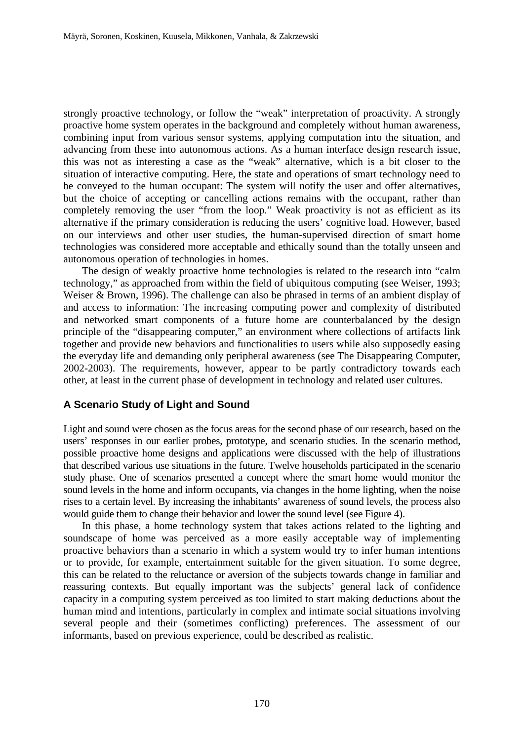strongly proactive technology, or follow the "weak" interpretation of proactivity. A strongly proactive home system operates in the background and completely without human awareness, combining input from various sensor systems, applying computation into the situation, and advancing from these into autonomous actions. As a human interface design research issue, this was not as interesting a case as the "weak" alternative, which is a bit closer to the situation of interactive computing. Here, the state and operations of smart technology need to be conveyed to the human occupant: The system will notify the user and offer alternatives, but the choice of accepting or cancelling actions remains with the occupant, rather than completely removing the user "from the loop." Weak proactivity is not as efficient as its alternative if the primary consideration is reducing the users' cognitive load. However, based on our interviews and other user studies, the human-supervised direction of smart home technologies was considered more acceptable and ethically sound than the totally unseen and autonomous operation of technologies in homes.

 The design of weakly proactive home technologies is related to the research into "calm technology," as approached from within the field of ubiquitous computing (see Weiser, 1993; Weiser & Brown, 1996). The challenge can also be phrased in terms of an ambient display of and access to information: The increasing computing power and complexity of distributed and networked smart components of a future home are counterbalanced by the design principle of the "disappearing computer," an environment where collections of artifacts link together and provide new behaviors and functionalities to users while also supposedly easing the everyday life and demanding only peripheral awareness (see The Disappearing Computer, 2002-2003). The requirements, however, appear to be partly contradictory towards each other, at least in the current phase of development in technology and related user cultures.

## **A Scenario Study of Light and Sound**

Light and sound were chosen as the focus areas for the second phase of our research, based on the users' responses in our earlier probes, prototype, and scenario studies. In the scenario method, possible proactive home designs and applications were discussed with the help of illustrations that described various use situations in the future. Twelve households participated in the scenario study phase. One of scenarios presented a concept where the smart home would monitor the sound levels in the home and inform occupants, via changes in the home lighting, when the noise rises to a certain level. By increasing the inhabitants' awareness of sound levels, the process also would guide them to change their behavior and lower the sound level (see Figure 4).

 In this phase, a home technology system that takes actions related to the lighting and soundscape of home was perceived as a more easily acceptable way of implementing proactive behaviors than a scenario in which a system would try to infer human intentions or to provide, for example, entertainment suitable for the given situation. To some degree, this can be related to the reluctance or aversion of the subjects towards change in familiar and reassuring contexts. But equally important was the subjects' general lack of confidence capacity in a computing system perceived as too limited to start making deductions about the human mind and intentions, particularly in complex and intimate social situations involving several people and their (sometimes conflicting) preferences. The assessment of our informants, based on previous experience, could be described as realistic.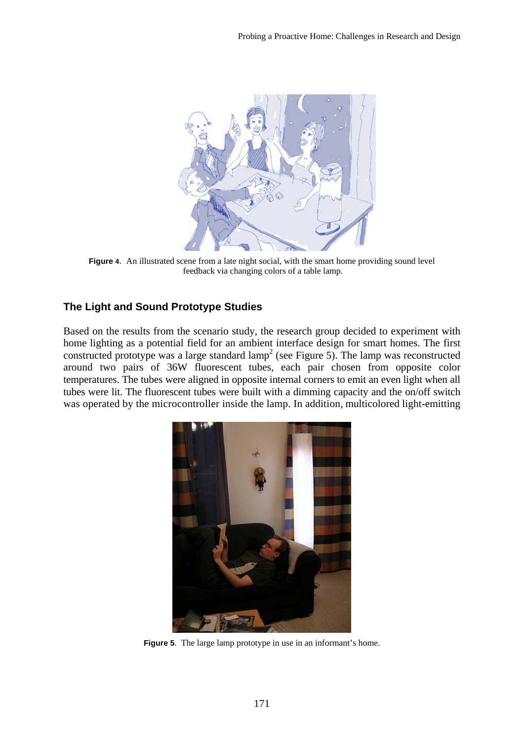

**Figure 4**. An illustrated scene from a late night social, with the smart home providing sound level feedback via changing colors of a table lamp.

# **The Light and Sound Prototype Studies**

Based on the results from the scenario study, the research group decided to experiment with home lighting as a potential field for an ambient interface design for smart homes. The first constructed prototype was a large standard  $\text{lamp}^2$  (see Figure 5). The lamp was reconstructed around two pairs of 36W fluorescent tubes, each pair chosen from opposite color temperatures. The tubes were aligned in opposite internal corners to emit an even light when all tubes were lit. The fluorescent tubes were built with a dimming capacity and the on/off switch was operated by the microcontroller inside the lamp. In addition, multicolored light-emitting



**Figure 5**. The large lamp prototype in use in an informant's home.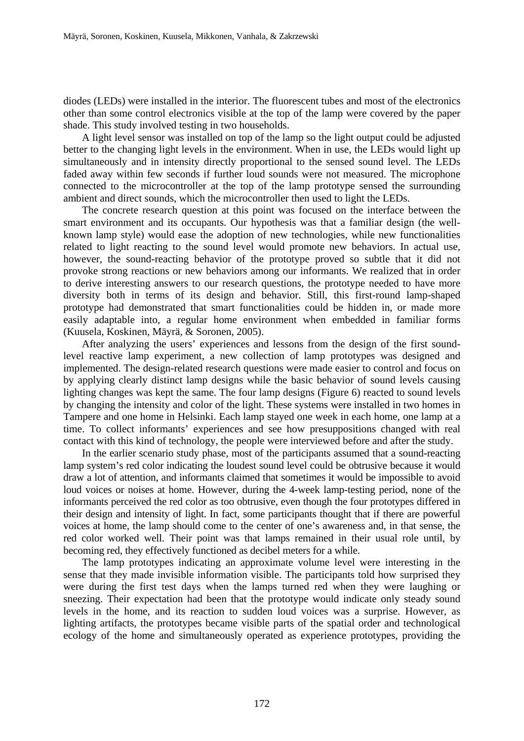diodes (LEDs) were installed in the interior. The fluorescent tubes and most of the electronics other than some control electronics visible at the top of the lamp were covered by the paper shade. This study involved testing in two households.

A light level sensor was installed on top of the lamp so the light output could be adjusted better to the changing light levels in the environment. When in use, the LEDs would light up simultaneously and in intensity directly proportional to the sensed sound level. The LEDs faded away within few seconds if further loud sounds were not measured. The microphone connected to the microcontroller at the top of the lamp prototype sensed the surrounding ambient and direct sounds, which the microcontroller then used to light the LEDs.

The concrete research question at this point was focused on the interface between the smart environment and its occupants. Our hypothesis was that a familiar design (the wellknown lamp style) would ease the adoption of new technologies, while new functionalities related to light reacting to the sound level would promote new behaviors. In actual use, however, the sound-reacting behavior of the prototype proved so subtle that it did not provoke strong reactions or new behaviors among our informants. We realized that in order to derive interesting answers to our research questions, the prototype needed to have more diversity both in terms of its design and behavior. Still, this first-round lamp-shaped prototype had demonstrated that smart functionalities could be hidden in, or made more easily adaptable into, a regular home environment when embedded in familiar forms (Kuusela, Koskinen, Mäyrä, & Soronen, 2005).

 After analyzing the users' experiences and lessons from the design of the first soundlevel reactive lamp experiment, a new collection of lamp prototypes was designed and implemented. The design-related research questions were made easier to control and focus on by applying clearly distinct lamp designs while the basic behavior of sound levels causing lighting changes was kept the same. The four lamp designs (Figure 6) reacted to sound levels by changing the intensity and color of the light. These systems were installed in two homes in Tampere and one home in Helsinki. Each lamp stayed one week in each home, one lamp at a time. To collect informants' experiences and see how presuppositions changed with real contact with this kind of technology, the people were interviewed before and after the study.

 In the earlier scenario study phase, most of the participants assumed that a sound-reacting lamp system's red color indicating the loudest sound level could be obtrusive because it would draw a lot of attention, and informants claimed that sometimes it would be impossible to avoid loud voices or noises at home. However, during the 4-week lamp-testing period, none of the informants perceived the red color as too obtrusive, even though the four prototypes differed in their design and intensity of light. In fact, some participants thought that if there are powerful voices at home, the lamp should come to the center of one's awareness and, in that sense, the red color worked well. Their point was that lamps remained in their usual role until, by becoming red, they effectively functioned as decibel meters for a while.

 The lamp prototypes indicating an approximate volume level were interesting in the sense that they made invisible information visible. The participants told how surprised they were during the first test days when the lamps turned red when they were laughing or sneezing. Their expectation had been that the prototype would indicate only steady sound levels in the home, and its reaction to sudden loud voices was a surprise. However, as lighting artifacts, the prototypes became visible parts of the spatial order and technological ecology of the home and simultaneously operated as experience prototypes, providing the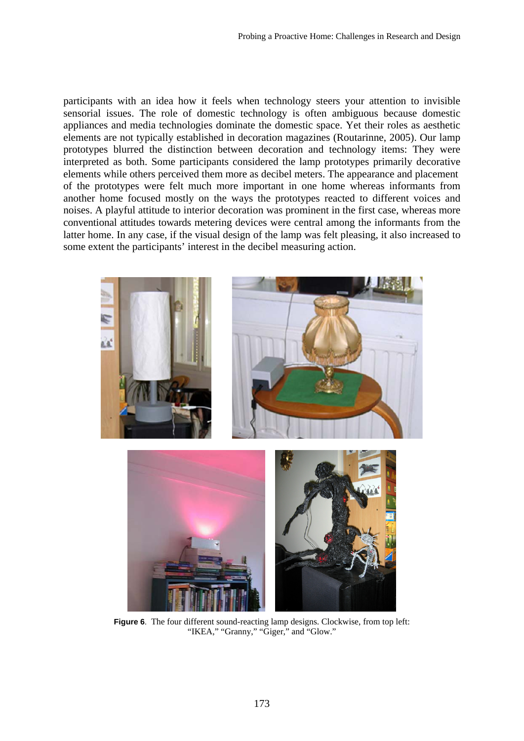participants with an idea how it feels when technology steers your attention to invisible sensorial issues. The role of domestic technology is often ambiguous because domestic appliances and media technologies dominate the domestic space. Yet their roles as aesthetic elements are not typically established in decoration magazines (Routarinne, 2005). Our lamp prototypes blurred the distinction between decoration and technology items: They were interpreted as both. Some participants considered the lamp prototypes primarily decorative elements while others perceived them more as decibel meters. The appearance and placement of the prototypes were felt much more important in one home whereas informants from another home focused mostly on the ways the prototypes reacted to different voices and noises. A playful attitude to interior decoration was prominent in the first case, whereas more conventional attitudes towards metering devices were central among the informants from the latter home. In any case, if the visual design of the lamp was felt pleasing, it also increased to some extent the participants' interest in the decibel measuring action.



**Figure 6**. The four different sound-reacting lamp designs. Clockwise, from top left: "IKEA," "Granny," "Giger," and "Glow."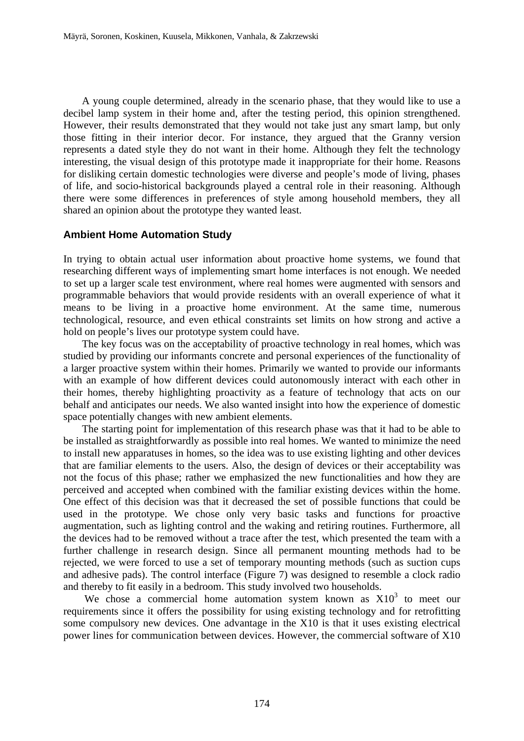A young couple determined, already in the scenario phase, that they would like to use a decibel lamp system in their home and, after the testing period, this opinion strengthened. However, their results demonstrated that they would not take just any smart lamp, but only those fitting in their interior decor. For instance, they argued that the Granny version represents a dated style they do not want in their home. Although they felt the technology interesting, the visual design of this prototype made it inappropriate for their home. Reasons for disliking certain domestic technologies were diverse and people's mode of living, phases of life, and socio-historical backgrounds played a central role in their reasoning. Although there were some differences in preferences of style among household members, they all shared an opinion about the prototype they wanted least.

## **Ambient Home Automation Study**

In trying to obtain actual user information about proactive home systems, we found that researching different ways of implementing smart home interfaces is not enough. We needed to set up a larger scale test environment, where real homes were augmented with sensors and programmable behaviors that would provide residents with an overall experience of what it means to be living in a proactive home environment. At the same time, numerous technological, resource, and even ethical constraints set limits on how strong and active a hold on people's lives our prototype system could have.

 The key focus was on the acceptability of proactive technology in real homes, which was studied by providing our informants concrete and personal experiences of the functionality of a larger proactive system within their homes. Primarily we wanted to provide our informants with an example of how different devices could autonomously interact with each other in their homes, thereby highlighting proactivity as a feature of technology that acts on our behalf and anticipates our needs. We also wanted insight into how the experience of domestic space potentially changes with new ambient elements.

 The starting point for implementation of this research phase was that it had to be able to be installed as straightforwardly as possible into real homes. We wanted to minimize the need to install new apparatuses in homes, so the idea was to use existing lighting and other devices that are familiar elements to the users. Also, the design of devices or their acceptability was not the focus of this phase; rather we emphasized the new functionalities and how they are perceived and accepted when combined with the familiar existing devices within the home. One effect of this decision was that it decreased the set of possible functions that could be used in the prototype. We chose only very basic tasks and functions for proactive augmentation, such as lighting control and the waking and retiring routines. Furthermore, all the devices had to be removed without a trace after the test, which presented the team with a further challenge in research design. Since all permanent mounting methods had to be rejected, we were forced to use a set of temporary mounting methods (such as suction cups and adhesive pads). The control interface (Figure 7) was designed to resemble a clock radio and thereby to fit easily in a bedroom. This study involved two households.

We chose a commercial home automation system known as  $X10<sup>3</sup>$  to meet our requirements since it offers the possibility for using existing technology and for retrofitting some compulsory new devices. One advantage in the X10 is that it uses existing electrical power lines for communication between devices. However, the commercial software of X10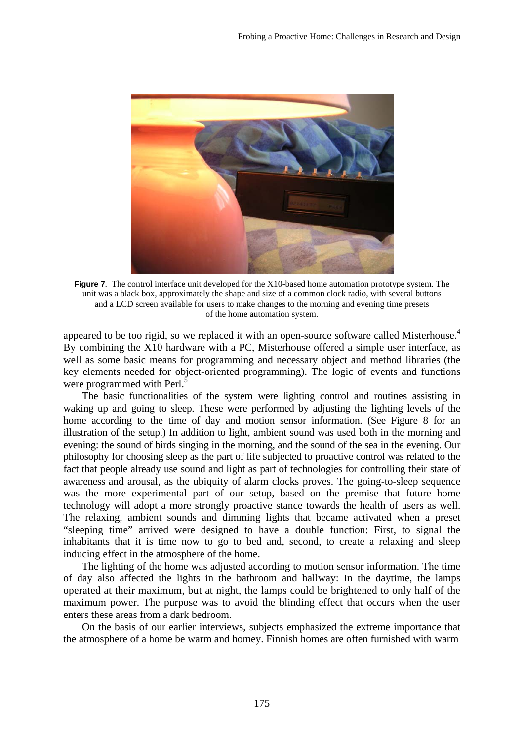

**Figure 7**. The control interface unit developed for the X10-based home automation prototype system. The unit was a black box, approximately the shape and size of a common clock radio, with several buttons and a LCD screen available for users to make changes to the morning and evening time presets of the home automation system.

appeared to be too rigid, so we replaced it with an open-source software called Misterhouse.<sup>4</sup> By combining the X10 hardware with a PC, Misterhouse offered a simple user interface, as well as some basic means for programming and necessary object and method libraries (the key elements needed for object-oriented programming). The logic of events and functions were programmed with Perl.<sup>5</sup>

 The basic functionalities of the system were lighting control and routines assisting in waking up and going to sleep. These were performed by adjusting the lighting levels of the home according to the time of day and motion sensor information. (See Figure 8 for an illustration of the setup.) In addition to light, ambient sound was used both in the morning and evening: the sound of birds singing in the morning, and the sound of the sea in the evening. Our philosophy for choosing sleep as the part of life subjected to proactive control was related to the fact that people already use sound and light as part of technologies for controlling their state of awareness and arousal, as the ubiquity of alarm clocks proves. The going-to-sleep sequence was the more experimental part of our setup, based on the premise that future home technology will adopt a more strongly proactive stance towards the health of users as well. The relaxing, ambient sounds and dimming lights that became activated when a preset "sleeping time" arrived were designed to have a double function: First, to signal the inhabitants that it is time now to go to bed and, second, to create a relaxing and sleep inducing effect in the atmosphere of the home.

The lighting of the home was adjusted according to motion sensor information. The time of day also affected the lights in the bathroom and hallway: In the daytime, the lamps operated at their maximum, but at night, the lamps could be brightened to only half of the maximum power. The purpose was to avoid the blinding effect that occurs when the user enters these areas from a dark bedroom.

On the basis of our earlier interviews, subjects emphasized the extreme importance that the atmosphere of a home be warm and homey. Finnish homes are often furnished with warm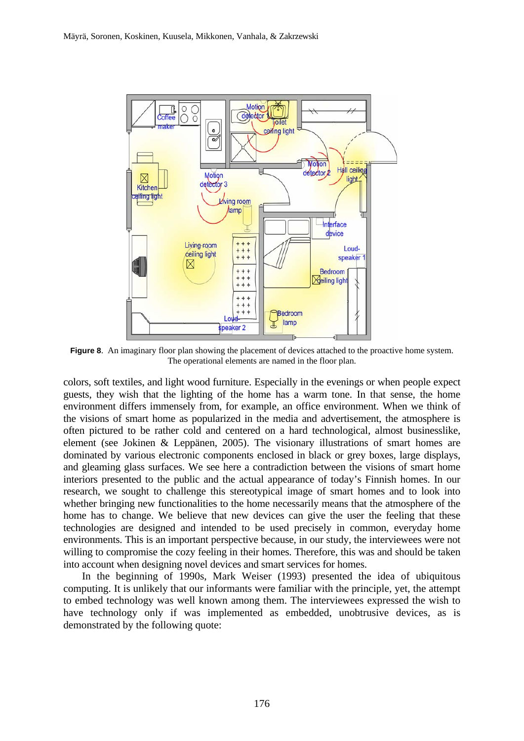

**Figure 8.** An imaginary floor plan showing the placement of devices attached to the proactive home system. The operational elements are named in the floor plan.

colors, soft textiles, and light wood furniture. Especially in the evenings or when people expect guests, they wish that the lighting of the home has a warm tone. In that sense, the home environment differs immensely from, for example, an office environment. When we think of the visions of smart home as popularized in the media and advertisement, the atmosphere is often pictured to be rather cold and centered on a hard technological, almost businesslike, element (see Jokinen & Leppänen, 2005). The visionary illustrations of smart homes are dominated by various electronic components enclosed in black or grey boxes, large displays, and gleaming glass surfaces. We see here a contradiction between the visions of smart home interiors presented to the public and the actual appearance of today's Finnish homes. In our research, we sought to challenge this stereotypical image of smart homes and to look into whether bringing new functionalities to the home necessarily means that the atmosphere of the home has to change. We believe that new devices can give the user the feeling that these technologies are designed and intended to be used precisely in common, everyday home environments. This is an important perspective because, in our study, the interviewees were not willing to compromise the cozy feeling in their homes. Therefore, this was and should be taken into account when designing novel devices and smart services for homes.

 In the beginning of 1990s, Mark Weiser (1993) presented the idea of ubiquitous computing. It is unlikely that our informants were familiar with the principle, yet, the attempt to embed technology was well known among them. The interviewees expressed the wish to have technology only if was implemented as embedded, unobtrusive devices, as is demonstrated by the following quote: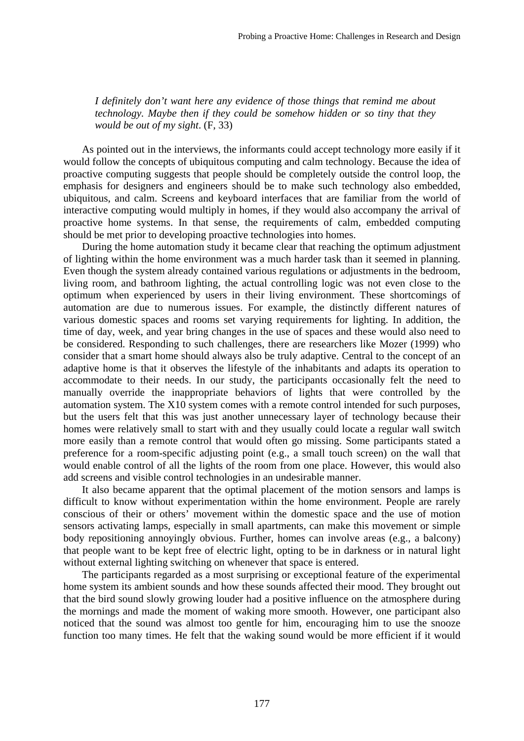*I definitely don't want here any evidence of those things that remind me about technology. Maybe then if they could be somehow hidden or so tiny that they would be out of my sight*. (F, 33)

 As pointed out in the interviews, the informants could accept technology more easily if it would follow the concepts of ubiquitous computing and calm technology. Because the idea of proactive computing suggests that people should be completely outside the control loop, the emphasis for designers and engineers should be to make such technology also embedded, ubiquitous, and calm. Screens and keyboard interfaces that are familiar from the world of interactive computing would multiply in homes, if they would also accompany the arrival of proactive home systems. In that sense, the requirements of calm, embedded computing should be met prior to developing proactive technologies into homes.

 During the home automation study it became clear that reaching the optimum adjustment of lighting within the home environment was a much harder task than it seemed in planning. Even though the system already contained various regulations or adjustments in the bedroom, living room, and bathroom lighting, the actual controlling logic was not even close to the optimum when experienced by users in their living environment. These shortcomings of automation are due to numerous issues. For example, the distinctly different natures of various domestic spaces and rooms set varying requirements for lighting. In addition, the time of day, week, and year bring changes in the use of spaces and these would also need to be considered. Responding to such challenges, there are researchers like Mozer (1999) who consider that a smart home should always also be truly adaptive. Central to the concept of an adaptive home is that it observes the lifestyle of the inhabitants and adapts its operation to accommodate to their needs. In our study, the participants occasionally felt the need to manually override the inappropriate behaviors of lights that were controlled by the automation system. The X10 system comes with a remote control intended for such purposes, but the users felt that this was just another unnecessary layer of technology because their homes were relatively small to start with and they usually could locate a regular wall switch more easily than a remote control that would often go missing. Some participants stated a preference for a room-specific adjusting point (e.g., a small touch screen) on the wall that would enable control of all the lights of the room from one place. However, this would also add screens and visible control technologies in an undesirable manner.

 It also became apparent that the optimal placement of the motion sensors and lamps is difficult to know without experimentation within the home environment. People are rarely conscious of their or others' movement within the domestic space and the use of motion sensors activating lamps, especially in small apartments, can make this movement or simple body repositioning annoyingly obvious. Further, homes can involve areas (e.g., a balcony) that people want to be kept free of electric light, opting to be in darkness or in natural light without external lighting switching on whenever that space is entered.

 The participants regarded as a most surprising or exceptional feature of the experimental home system its ambient sounds and how these sounds affected their mood. They brought out that the bird sound slowly growing louder had a positive influence on the atmosphere during the mornings and made the moment of waking more smooth. However, one participant also noticed that the sound was almost too gentle for him, encouraging him to use the snooze function too many times. He felt that the waking sound would be more efficient if it would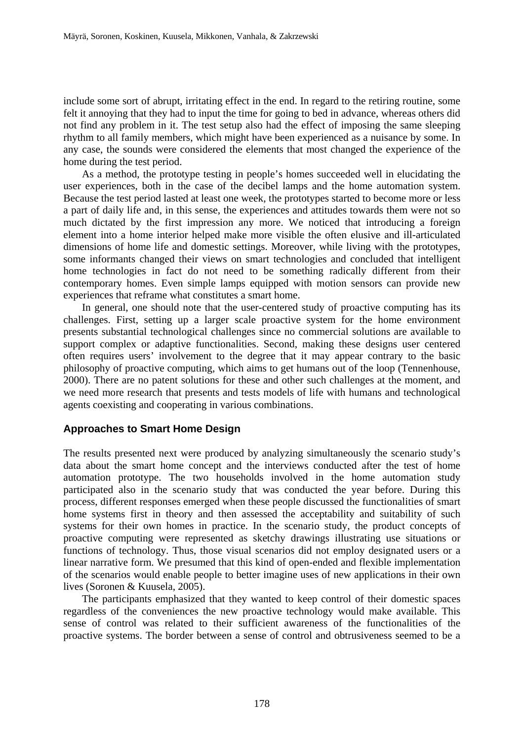include some sort of abrupt, irritating effect in the end. In regard to the retiring routine, some felt it annoying that they had to input the time for going to bed in advance, whereas others did not find any problem in it. The test setup also had the effect of imposing the same sleeping rhythm to all family members, which might have been experienced as a nuisance by some. In any case, the sounds were considered the elements that most changed the experience of the home during the test period.

 As a method, the prototype testing in people's homes succeeded well in elucidating the user experiences, both in the case of the decibel lamps and the home automation system. Because the test period lasted at least one week, the prototypes started to become more or less a part of daily life and, in this sense, the experiences and attitudes towards them were not so much dictated by the first impression any more. We noticed that introducing a foreign element into a home interior helped make more visible the often elusive and ill-articulated dimensions of home life and domestic settings. Moreover, while living with the prototypes, some informants changed their views on smart technologies and concluded that intelligent home technologies in fact do not need to be something radically different from their contemporary homes. Even simple lamps equipped with motion sensors can provide new experiences that reframe what constitutes a smart home.

 In general, one should note that the user-centered study of proactive computing has its challenges. First, setting up a larger scale proactive system for the home environment presents substantial technological challenges since no commercial solutions are available to support complex or adaptive functionalities. Second, making these designs user centered often requires users' involvement to the degree that it may appear contrary to the basic philosophy of proactive computing, which aims to get humans out of the loop (Tennenhouse, 2000). There are no patent solutions for these and other such challenges at the moment, and we need more research that presents and tests models of life with humans and technological agents coexisting and cooperating in various combinations.

## **Approaches to Smart Home Design**

The results presented next were produced by analyzing simultaneously the scenario study's data about the smart home concept and the interviews conducted after the test of home automation prototype. The two households involved in the home automation study participated also in the scenario study that was conducted the year before. During this process, different responses emerged when these people discussed the functionalities of smart home systems first in theory and then assessed the acceptability and suitability of such systems for their own homes in practice. In the scenario study, the product concepts of proactive computing were represented as sketchy drawings illustrating use situations or functions of technology. Thus, those visual scenarios did not employ designated users or a linear narrative form. We presumed that this kind of open-ended and flexible implementation of the scenarios would enable people to better imagine uses of new applications in their own lives (Soronen & Kuusela, 2005).

 The participants emphasized that they wanted to keep control of their domestic spaces regardless of the conveniences the new proactive technology would make available. This sense of control was related to their sufficient awareness of the functionalities of the proactive systems. The border between a sense of control and obtrusiveness seemed to be a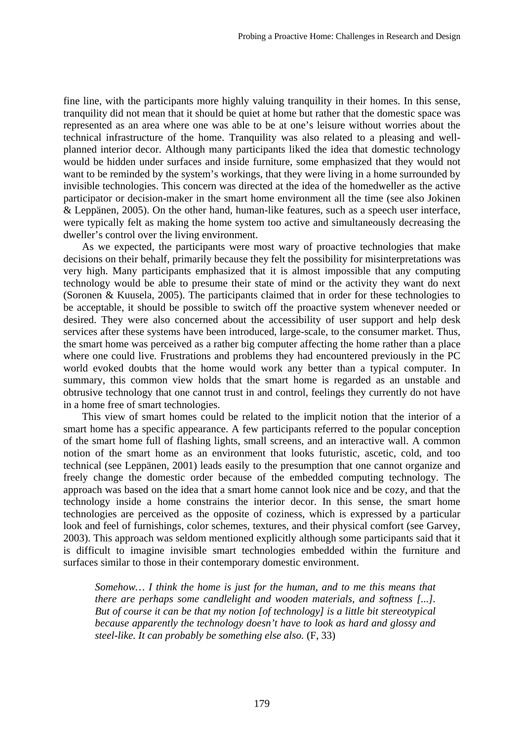fine line, with the participants more highly valuing tranquility in their homes. In this sense, tranquility did not mean that it should be quiet at home but rather that the domestic space was represented as an area where one was able to be at one's leisure without worries about the technical infrastructure of the home. Tranquility was also related to a pleasing and wellplanned interior decor. Although many participants liked the idea that domestic technology would be hidden under surfaces and inside furniture, some emphasized that they would not want to be reminded by the system's workings, that they were living in a home surrounded by invisible technologies. This concern was directed at the idea of the homedweller as the active participator or decision-maker in the smart home environment all the time (see also Jokinen & Leppänen, 2005). On the other hand, human-like features, such as a speech user interface, were typically felt as making the home system too active and simultaneously decreasing the dweller's control over the living environment.

 As we expected, the participants were most wary of proactive technologies that make decisions on their behalf, primarily because they felt the possibility for misinterpretations was very high. Many participants emphasized that it is almost impossible that any computing technology would be able to presume their state of mind or the activity they want do next (Soronen & Kuusela, 2005). The participants claimed that in order for these technologies to be acceptable, it should be possible to switch off the proactive system whenever needed or desired. They were also concerned about the accessibility of user support and help desk services after these systems have been introduced, large-scale, to the consumer market. Thus, the smart home was perceived as a rather big computer affecting the home rather than a place where one could live. Frustrations and problems they had encountered previously in the PC world evoked doubts that the home would work any better than a typical computer. In summary, this common view holds that the smart home is regarded as an unstable and obtrusive technology that one cannot trust in and control, feelings they currently do not have in a home free of smart technologies.

 This view of smart homes could be related to the implicit notion that the interior of a smart home has a specific appearance. A few participants referred to the popular conception of the smart home full of flashing lights, small screens, and an interactive wall. A common notion of the smart home as an environment that looks futuristic, ascetic, cold, and too technical (see Leppänen, 2001) leads easily to the presumption that one cannot organize and freely change the domestic order because of the embedded computing technology. The approach was based on the idea that a smart home cannot look nice and be cozy, and that the technology inside a home constrains the interior decor. In this sense, the smart home technologies are perceived as the opposite of coziness, which is expressed by a particular look and feel of furnishings, color schemes, textures, and their physical comfort (see Garvey, 2003). This approach was seldom mentioned explicitly although some participants said that it is difficult to imagine invisible smart technologies embedded within the furniture and surfaces similar to those in their contemporary domestic environment.

*Somehow… I think the home is just for the human, and to me this means that there are perhaps some candlelight and wooden materials, and softness [...]. But of course it can be that my notion [of technology] is a little bit stereotypical because apparently the technology doesn't have to look as hard and glossy and steel-like. It can probably be something else also.* (F, 33)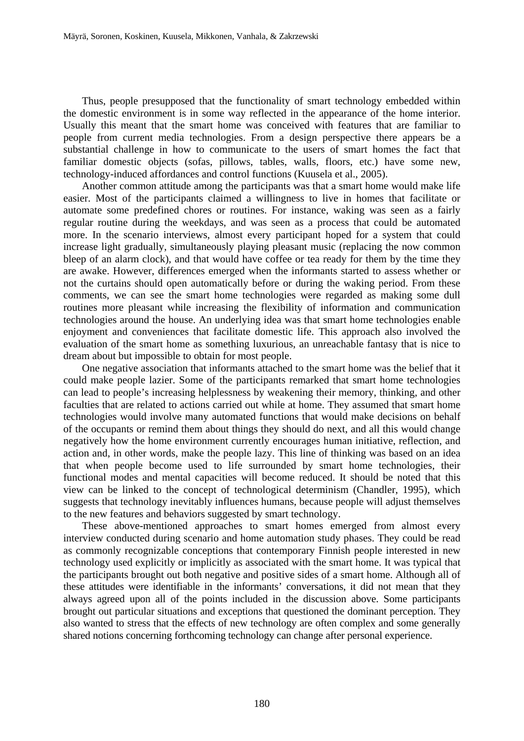Thus, people presupposed that the functionality of smart technology embedded within the domestic environment is in some way reflected in the appearance of the home interior. Usually this meant that the smart home was conceived with features that are familiar to people from current media technologies. From a design perspective there appears be a substantial challenge in how to communicate to the users of smart homes the fact that familiar domestic objects (sofas, pillows, tables, walls, floors, etc.) have some new, technology-induced affordances and control functions (Kuusela et al., 2005).

 Another common attitude among the participants was that a smart home would make life easier. Most of the participants claimed a willingness to live in homes that facilitate or automate some predefined chores or routines. For instance, waking was seen as a fairly regular routine during the weekdays, and was seen as a process that could be automated more. In the scenario interviews, almost every participant hoped for a system that could increase light gradually, simultaneously playing pleasant music (replacing the now common bleep of an alarm clock), and that would have coffee or tea ready for them by the time they are awake. However, differences emerged when the informants started to assess whether or not the curtains should open automatically before or during the waking period. From these comments, we can see the smart home technologies were regarded as making some dull routines more pleasant while increasing the flexibility of information and communication technologies around the house. An underlying idea was that smart home technologies enable enjoyment and conveniences that facilitate domestic life. This approach also involved the evaluation of the smart home as something luxurious, an unreachable fantasy that is nice to dream about but impossible to obtain for most people.

 One negative association that informants attached to the smart home was the belief that it could make people lazier. Some of the participants remarked that smart home technologies can lead to people's increasing helplessness by weakening their memory, thinking, and other faculties that are related to actions carried out while at home. They assumed that smart home technologies would involve many automated functions that would make decisions on behalf of the occupants or remind them about things they should do next, and all this would change negatively how the home environment currently encourages human initiative, reflection, and action and, in other words, make the people lazy. This line of thinking was based on an idea that when people become used to life surrounded by smart home technologies, their functional modes and mental capacities will become reduced. It should be noted that this view can be linked to the concept of technological determinism (Chandler, 1995), which suggests that technology inevitably influences humans, because people will adjust themselves to the new features and behaviors suggested by smart technology.

 These above-mentioned approaches to smart homes emerged from almost every interview conducted during scenario and home automation study phases. They could be read as commonly recognizable conceptions that contemporary Finnish people interested in new technology used explicitly or implicitly as associated with the smart home. It was typical that the participants brought out both negative and positive sides of a smart home. Although all of these attitudes were identifiable in the informants' conversations, it did not mean that they always agreed upon all of the points included in the discussion above. Some participants brought out particular situations and exceptions that questioned the dominant perception. They also wanted to stress that the effects of new technology are often complex and some generally shared notions concerning forthcoming technology can change after personal experience.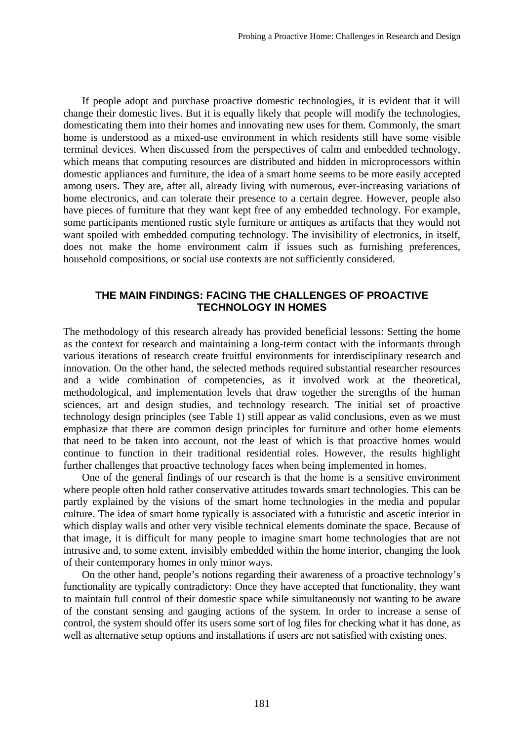If people adopt and purchase proactive domestic technologies, it is evident that it will change their domestic lives. But it is equally likely that people will modify the technologies, domesticating them into their homes and innovating new uses for them. Commonly, the smart home is understood as a mixed-use environment in which residents still have some visible terminal devices. When discussed from the perspectives of calm and embedded technology, which means that computing resources are distributed and hidden in microprocessors within domestic appliances and furniture, the idea of a smart home seems to be more easily accepted among users. They are, after all, already living with numerous, ever-increasing variations of home electronics, and can tolerate their presence to a certain degree. However, people also have pieces of furniture that they want kept free of any embedded technology. For example, some participants mentioned rustic style furniture or antiques as artifacts that they would not want spoiled with embedded computing technology. The invisibility of electronics, in itself, does not make the home environment calm if issues such as furnishing preferences, household compositions, or social use contexts are not sufficiently considered.

# **THE MAIN FINDINGS: FACING THE CHALLENGES OF PROACTIVE TECHNOLOGY IN HOMES**

The methodology of this research already has provided beneficial lessons: Setting the home as the context for research and maintaining a long-term contact with the informants through various iterations of research create fruitful environments for interdisciplinary research and innovation. On the other hand, the selected methods required substantial researcher resources and a wide combination of competencies, as it involved work at the theoretical, methodological, and implementation levels that draw together the strengths of the human sciences, art and design studies, and technology research. The initial set of proactive technology design principles (see Table 1) still appear as valid conclusions, even as we must emphasize that there are common design principles for furniture and other home elements that need to be taken into account, not the least of which is that proactive homes would continue to function in their traditional residential roles. However, the results highlight further challenges that proactive technology faces when being implemented in homes.

 One of the general findings of our research is that the home is a sensitive environment where people often hold rather conservative attitudes towards smart technologies. This can be partly explained by the visions of the smart home technologies in the media and popular culture. The idea of smart home typically is associated with a futuristic and ascetic interior in which display walls and other very visible technical elements dominate the space. Because of that image, it is difficult for many people to imagine smart home technologies that are not intrusive and, to some extent, invisibly embedded within the home interior, changing the look of their contemporary homes in only minor ways.

 On the other hand, people's notions regarding their awareness of a proactive technology's functionality are typically contradictory: Once they have accepted that functionality, they want to maintain full control of their domestic space while simultaneously not wanting to be aware of the constant sensing and gauging actions of the system. In order to increase a sense of control, the system should offer its users some sort of log files for checking what it has done, as well as alternative setup options and installations if users are not satisfied with existing ones.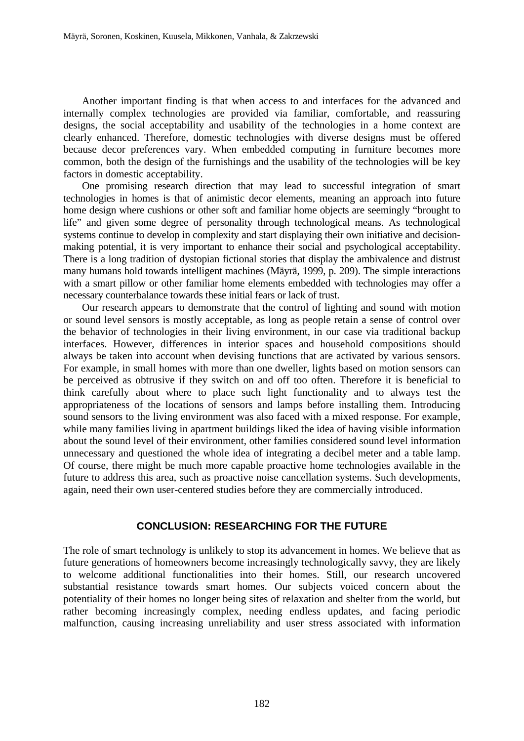Another important finding is that when access to and interfaces for the advanced and internally complex technologies are provided via familiar, comfortable, and reassuring designs, the social acceptability and usability of the technologies in a home context are clearly enhanced. Therefore, domestic technologies with diverse designs must be offered because decor preferences vary. When embedded computing in furniture becomes more common, both the design of the furnishings and the usability of the technologies will be key factors in domestic acceptability.

 One promising research direction that may lead to successful integration of smart technologies in homes is that of animistic decor elements, meaning an approach into future home design where cushions or other soft and familiar home objects are seemingly "brought to life" and given some degree of personality through technological means. As technological systems continue to develop in complexity and start displaying their own initiative and decisionmaking potential, it is very important to enhance their social and psychological acceptability. There is a long tradition of dystopian fictional stories that display the ambivalence and distrust many humans hold towards intelligent machines (Mäyrä, 1999, p. 209). The simple interactions with a smart pillow or other familiar home elements embedded with technologies may offer a necessary counterbalance towards these initial fears or lack of trust.

 Our research appears to demonstrate that the control of lighting and sound with motion or sound level sensors is mostly acceptable, as long as people retain a sense of control over the behavior of technologies in their living environment, in our case via traditional backup interfaces. However, differences in interior spaces and household compositions should always be taken into account when devising functions that are activated by various sensors. For example, in small homes with more than one dweller, lights based on motion sensors can be perceived as obtrusive if they switch on and off too often. Therefore it is beneficial to think carefully about where to place such light functionality and to always test the appropriateness of the locations of sensors and lamps before installing them. Introducing sound sensors to the living environment was also faced with a mixed response. For example, while many families living in apartment buildings liked the idea of having visible information about the sound level of their environment, other families considered sound level information unnecessary and questioned the whole idea of integrating a decibel meter and a table lamp. Of course, there might be much more capable proactive home technologies available in the future to address this area, such as proactive noise cancellation systems. Such developments, again, need their own user-centered studies before they are commercially introduced.

### **CONCLUSION: RESEARCHING FOR THE FUTURE**

The role of smart technology is unlikely to stop its advancement in homes. We believe that as future generations of homeowners become increasingly technologically savvy, they are likely to welcome additional functionalities into their homes. Still, our research uncovered substantial resistance towards smart homes. Our subjects voiced concern about the potentiality of their homes no longer being sites of relaxation and shelter from the world, but rather becoming increasingly complex, needing endless updates, and facing periodic malfunction, causing increasing unreliability and user stress associated with information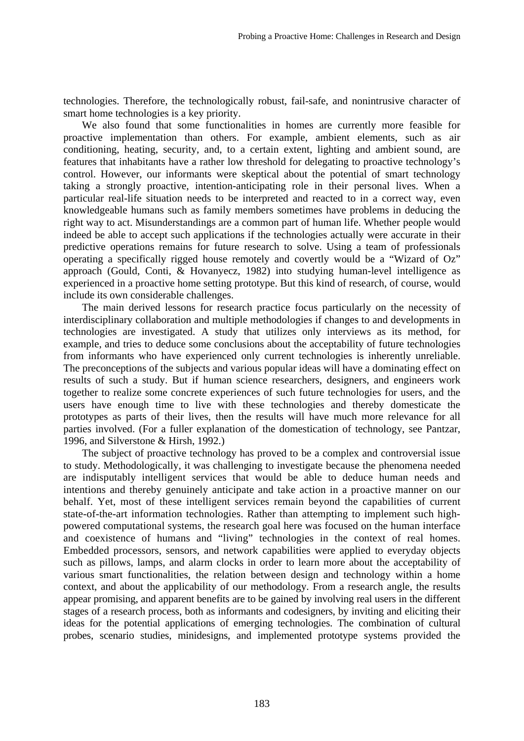technologies. Therefore, the technologically robust, fail-safe, and nonintrusive character of smart home technologies is a key priority.

 We also found that some functionalities in homes are currently more feasible for proactive implementation than others. For example, ambient elements, such as air conditioning, heating, security, and, to a certain extent, lighting and ambient sound, are features that inhabitants have a rather low threshold for delegating to proactive technology's control. However, our informants were skeptical about the potential of smart technology taking a strongly proactive, intention-anticipating role in their personal lives. When a particular real-life situation needs to be interpreted and reacted to in a correct way, even knowledgeable humans such as family members sometimes have problems in deducing the right way to act. Misunderstandings are a common part of human life. Whether people would indeed be able to accept such applications if the technologies actually were accurate in their predictive operations remains for future research to solve. Using a team of professionals operating a specifically rigged house remotely and covertly would be a "Wizard of Oz" approach (Gould, Conti, & Hovanyecz, 1982) into studying human-level intelligence as experienced in a proactive home setting prototype. But this kind of research, of course, would include its own considerable challenges.

 The main derived lessons for research practice focus particularly on the necessity of interdisciplinary collaboration and multiple methodologies if changes to and developments in technologies are investigated. A study that utilizes only interviews as its method, for example, and tries to deduce some conclusions about the acceptability of future technologies from informants who have experienced only current technologies is inherently unreliable. The preconceptions of the subjects and various popular ideas will have a dominating effect on results of such a study. But if human science researchers, designers, and engineers work together to realize some concrete experiences of such future technologies for users, and the users have enough time to live with these technologies and thereby domesticate the prototypes as parts of their lives, then the results will have much more relevance for all parties involved. (For a fuller explanation of the domestication of technology, see Pantzar, 1996, and Silverstone & Hirsh, 1992.)

 The subject of proactive technology has proved to be a complex and controversial issue to study. Methodologically, it was challenging to investigate because the phenomena needed are indisputably intelligent services that would be able to deduce human needs and intentions and thereby genuinely anticipate and take action in a proactive manner on our behalf. Yet, most of these intelligent services remain beyond the capabilities of current state-of-the-art information technologies. Rather than attempting to implement such highpowered computational systems, the research goal here was focused on the human interface and coexistence of humans and "living" technologies in the context of real homes. Embedded processors, sensors, and network capabilities were applied to everyday objects such as pillows, lamps, and alarm clocks in order to learn more about the acceptability of various smart functionalities, the relation between design and technology within a home context, and about the applicability of our methodology. From a research angle, the results appear promising, and apparent benefits are to be gained by involving real users in the different stages of a research process, both as informants and codesigners, by inviting and eliciting their ideas for the potential applications of emerging technologies. The combination of cultural probes, scenario studies, minidesigns, and implemented prototype systems provided the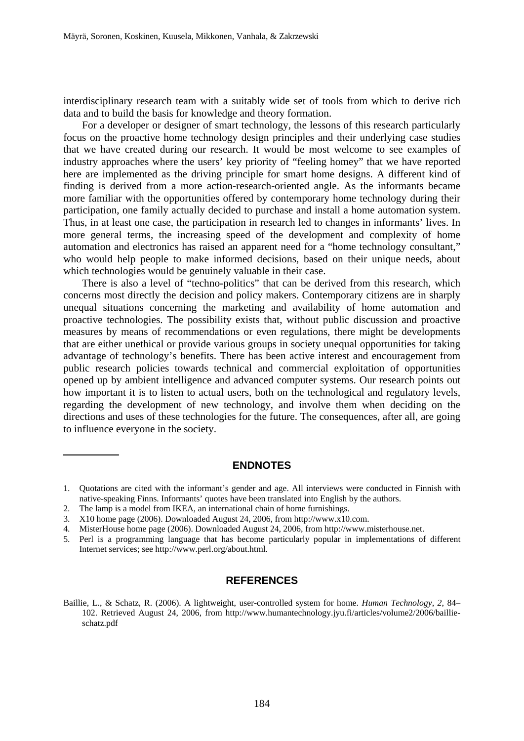interdisciplinary research team with a suitably wide set of tools from which to derive rich data and to build the basis for knowledge and theory formation.

 For a developer or designer of smart technology, the lessons of this research particularly focus on the proactive home technology design principles and their underlying case studies that we have created during our research. It would be most welcome to see examples of industry approaches where the users' key priority of "feeling homey" that we have reported here are implemented as the driving principle for smart home designs. A different kind of finding is derived from a more action-research-oriented angle. As the informants became more familiar with the opportunities offered by contemporary home technology during their participation, one family actually decided to purchase and install a home automation system. Thus, in at least one case, the participation in research led to changes in informants' lives. In more general terms, the increasing speed of the development and complexity of home automation and electronics has raised an apparent need for a "home technology consultant," who would help people to make informed decisions, based on their unique needs, about which technologies would be genuinely valuable in their case.

 There is also a level of "techno-politics" that can be derived from this research, which concerns most directly the decision and policy makers. Contemporary citizens are in sharply unequal situations concerning the marketing and availability of home automation and proactive technologies. The possibility exists that, without public discussion and proactive measures by means of recommendations or even regulations, there might be developments that are either unethical or provide various groups in society unequal opportunities for taking advantage of technology's benefits. There has been active interest and encouragement from public research policies towards technical and commercial exploitation of opportunities opened up by ambient intelligence and advanced computer systems. Our research points out how important it is to listen to actual users, both on the technological and regulatory levels, regarding the development of new technology, and involve them when deciding on the directions and uses of these technologies for the future. The consequences, after all, are going to influence everyone in the society.

### **ENDNOTES**

2. The lamp is a model from IKEA, an international chain of home furnishings.

 $\overline{\phantom{a}}$ 

3. X10 home page (2006). Downloaded August 24, 2006, from http://www.x10.com.

### **REFERENCES**

<sup>1.</sup> Quotations are cited with the informant's gender and age. All interviews were conducted in Finnish with native-speaking Finns. Informants' quotes have been translated into English by the authors.

<sup>4.</sup> MisterHouse home page (2006). Downloaded August 24, 2006, from http://www.misterhouse.net.

<sup>5.</sup> Perl is a programming language that has become particularly popular in implementations of different Internet services; see http://www.perl.org/about.html.

Baillie, L., & Schatz, R. (2006). A lightweight, user-controlled system for home. *Human Technology*, *2*, 84– 102. Retrieved August 24, 2006, from http://www.humantechnology.jyu.fi/articles/volume2/2006/baillieschatz.pdf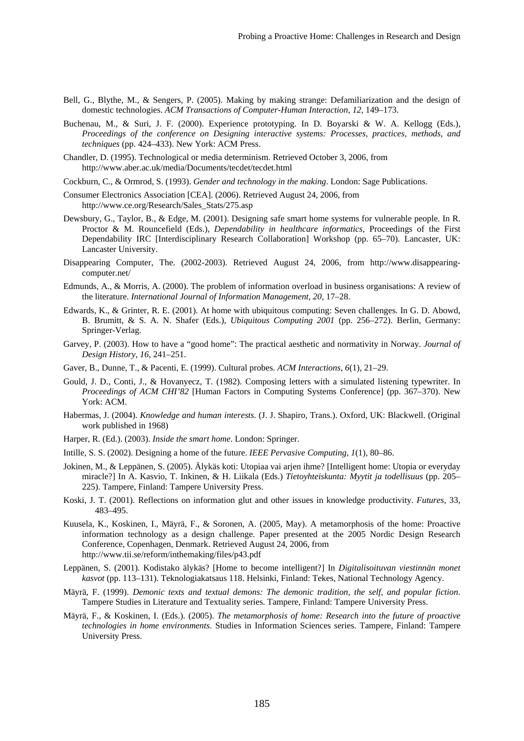- Bell, G., Blythe, M., & Sengers, P. (2005). Making by making strange: Defamiliarization and the design of domestic technologies. *ACM Transactions of Computer-Human Interaction*, *12*, 149–173.
- Buchenau, M., & Suri, J. F. (2000). Experience prototyping. In D. Boyarski & W. A. Kellogg (Eds.), *Proceedings of the conference on Designing interactive systems: Processes, practices, methods, and techniques* (pp. 424–433). New York: ACM Press.
- Chandler, D. (1995). Technological or media determinism. Retrieved October 3, 2006, from http://www.aber.ac.uk/media/Documents/tecdet/tecdet.html
- Cockburn, C., & Ormrod, S. (1993). *Gender and technology in the making*. London: Sage Publications.
- Consumer Electronics Association [CEA]. (2006). Retrieved August 24, 2006, from http://www.ce.org/Research/Sales\_Stats/275.asp
- Dewsbury, G., Taylor, B., & Edge, M. (2001). Designing safe smart home systems for vulnerable people. In R. Proctor & M. Rouncefield (Eds.), *Dependability in healthcare informatics,* Proceedings of the First Dependability IRC [Interdisciplinary Research Collaboration] Workshop (pp. 65–70). Lancaster, UK: Lancaster University.
- Disappearing Computer, The. (2002-2003). Retrieved August 24, 2006, from http://www.disappearingcomputer.net/
- Edmunds, A., & Morris, A. (2000). The problem of information overload in business organisations: A review of the literature. *International Journal of Information Management*, *20*, 17–28.
- Edwards, K., & Grinter, R. E. (2001). At home with ubiquitous computing: Seven challenges. In G. D. Abowd, B. Brumitt, & S. A. N. Shafer (Eds.), *Ubiquitous Computing 2001* (pp. 256–272). Berlin, Germany: Springer-Verlag.
- Garvey, P. (2003). How to have a "good home": The practical aesthetic and normativity in Norway. *Journal of Design History*, *16*, 241–251.
- Gaver, B., Dunne, T., & Pacenti, E. (1999). Cultural probes. *ACM Interactions*, *6*(1), 21–29.
- Gould, J. D., Conti, J., & Hovanyecz, T. (1982). Composing letters with a simulated listening typewriter. In *Proceedings of ACM CHI'82* [Human Factors in Computing Systems Conference] (pp. 367–370). New York: ACM.
- Habermas, J. (2004). *Knowledge and human interests*. (J. J. Shapiro, Trans.). Oxford, UK: Blackwell. (Original work published in 1968)
- Harper, R. (Ed.). (2003). *Inside the smart home*. London: Springer.
- Intille, S. S. (2002). Designing a home of the future. *IEEE Pervasive Computing*, *1*(1), 80–86.
- Jokinen, M., & Leppänen, S. (2005). Älykäs koti: Utopiaa vai arjen ihme? [Intelligent home: Utopia or everyday miracle?] In A. Kasvio, T. Inkinen, & H. Liikala (Eds.) *Tietoyhteiskunta: Myytit ja todellisuus* (pp. 205– 225). Tampere, Finland: Tampere University Press.
- Koski, J. T. (2001). Reflections on information glut and other issues in knowledge productivity. *Futures*, 33, 483–495.
- Kuusela, K., Koskinen, I., Mäyrä, F., & Soronen, A. (2005, May). A metamorphosis of the home: Proactive information technology as a design challenge. Paper presented at the 2005 Nordic Design Research Conference, Copenhagen, Denmark. Retrieved August 24, 2006, from http://www.tii.se/reform/inthemaking/files/p43.pdf
- Leppänen, S. (2001). Kodistako älykäs? [Home to become intelligent?] In *Digitalisoituvan viestinnän monet kasvot* (pp. 113–131). Teknologiakatsaus 118. Helsinki, Finland: Tekes, National Technology Agency.
- Mäyrä, F. (1999). *Demonic texts and textual demons: The demonic tradition, the self, and popular fiction*. Tampere Studies in Literature and Textuality series. Tampere, Finland: Tampere University Press.
- Mäyrä, F., & Koskinen, I. (Eds.). (2005). *The metamorphosis of home: Research into the future of proactive technologies in home environments*. Studies in Information Sciences series. Tampere, Finland: Tampere University Press.